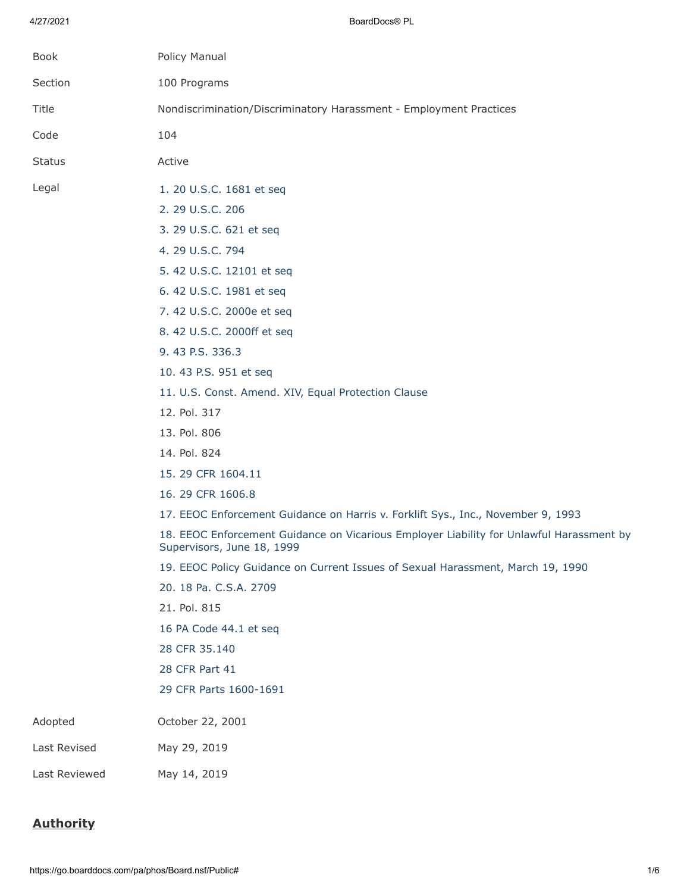4/27/2021 BoardDocs® PL

| Book          | Policy Manual                                                                                                          |
|---------------|------------------------------------------------------------------------------------------------------------------------|
| Section       | 100 Programs                                                                                                           |
| Title         | Nondiscrimination/Discriminatory Harassment - Employment Practices                                                     |
| Code          | 104                                                                                                                    |
| <b>Status</b> | Active                                                                                                                 |
|               |                                                                                                                        |
| Legal         | 1. 20 U.S.C. 1681 et seq                                                                                               |
|               | 2. 29 U.S.C. 206                                                                                                       |
|               | 3. 29 U.S.C. 621 et seq                                                                                                |
|               | 4. 29 U.S.C. 794                                                                                                       |
|               | 5. 42 U.S.C. 12101 et seq                                                                                              |
|               | 6. 42 U.S.C. 1981 et seq                                                                                               |
|               | 7. 42 U.S.C. 2000e et seq                                                                                              |
|               | 8. 42 U.S.C. 2000ff et seq                                                                                             |
|               | 9.43 P.S. 336.3                                                                                                        |
|               | 10. 43 P.S. 951 et seq                                                                                                 |
|               | 11. U.S. Const. Amend. XIV, Equal Protection Clause                                                                    |
|               | 12. Pol. 317                                                                                                           |
|               | 13. Pol. 806                                                                                                           |
|               | 14. Pol. 824                                                                                                           |
|               | 15. 29 CFR 1604.11                                                                                                     |
|               | 16. 29 CFR 1606.8                                                                                                      |
|               | 17. EEOC Enforcement Guidance on Harris v. Forklift Sys., Inc., November 9, 1993                                       |
|               | 18. EEOC Enforcement Guidance on Vicarious Employer Liability for Unlawful Harassment by<br>Supervisors, June 18, 1999 |
|               | 19. EEOC Policy Guidance on Current Issues of Sexual Harassment, March 19, 1990                                        |
|               | 20. 18 Pa. C.S.A. 2709                                                                                                 |
|               | 21. Pol. 815                                                                                                           |
|               | 16 PA Code 44.1 et seq                                                                                                 |
|               | 28 CFR 35.140                                                                                                          |
|               | 28 CFR Part 41                                                                                                         |
|               | 29 CFR Parts 1600-1691                                                                                                 |
| Adopted       | October 22, 2001                                                                                                       |
| Last Revised  | May 29, 2019                                                                                                           |
| Last Reviewed | May 14, 2019                                                                                                           |

# **Authority**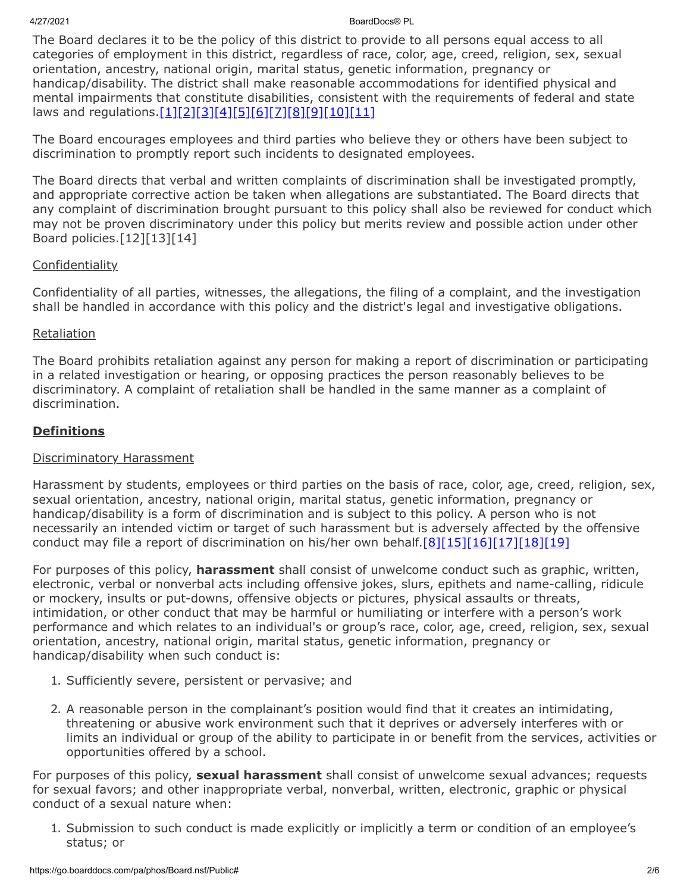4/27/2021 BoardDocs® PL

The Board declares it to be the policy of this district to provide to all persons equal access to all categories of employment in this district, regardless of race, color, age, creed, religion, sex, sexual orientation, ancestry, national origin, marital status, genetic information, pregnancy or handicap/disability. The district shall make reasonable accommodations for identified physical and mental impairments that constitute disabilities, consistent with the requirements of federal and state laws and regulations[.\[1\]](http://www.law.cornell.edu/uscode/text/20/chapter-38)[\[2\]](http://www.law.cornell.edu/uscode/text/29/206)[\[3\]](http://www.law.cornell.edu/uscode/text/29/chapter-14)[\[4\]](http://www.law.cornell.edu/uscode/text/29/794)[\[5\]](http://www.law.cornell.edu/uscode/text/42/chapter-126)[\[6\]](http://www.law.cornell.edu/uscode/text/42/chapter-21/subchapter-I)[\[7\]](http://www.law.cornell.edu/uscode/text/42/chapter-21/subchapter-VI)[\[8\]](http://www.law.cornell.edu/uscode/text/42/chapter-21F)[\[9\]](http://www.legis.state.pa.us/cfdocs/legis/LI/uconsCheck.cfm?txtType=HTM&yr=1959&sessInd=0&smthLwInd=0&act=694&chpt=0&sctn=3&subsctn=0)[\[10\]](http://www.legis.state.pa.us/cfdocs/Legis/LI/uconsCheck.cfm?txtType=HTM&yr=1955&sessInd=0&smthLwInd=0&act=0222.)[\[11\]](https://www.law.cornell.edu/constitution/amendmentxiv)

The Board encourages employees and third parties who believe they or others have been subject to discrimination to promptly report such incidents to designated employees.

The Board directs that verbal and written complaints of discrimination shall be investigated promptly, and appropriate corrective action be taken when allegations are substantiated. The Board directs that any complaint of discrimination brought pursuant to this policy shall also be reviewed for conduct which may not be proven discriminatory under this policy but merits review and possible action under other Board policies.[12][13][14]

# **Confidentiality**

Confidentiality of all parties, witnesses, the allegations, the filing of a complaint, and the investigation shall be handled in accordance with this policy and the district's legal and investigative obligations.

## **Retaliation**

The Board prohibits retaliation against any person for making a report of discrimination or participating in a related investigation or hearing, or opposing practices the person reasonably believes to be discriminatory. A complaint of retaliation shall be handled in the same manner as a complaint of discrimination.

# **Definitions**

# Discriminatory Harassment

Harassment by students, employees or third parties on the basis of race, color, age, creed, religion, sex, sexual orientation, ancestry, national origin, marital status, genetic information, pregnancy or handicap/disability is a form of discrimination and is subject to this policy. A person who is not necessarily an intended victim or target of such harassment but is adversely affected by the offensive conduct may file a report of discrimination on his/her own behalf.[\[8\]](http://www.law.cornell.edu/uscode/text/42/chapter-21F)[\[15\]](http://www.law.cornell.edu/cfr/text/29/1604.11)[\[16\]](http://www.law.cornell.edu/cfr/text/29/1606.8)[\[17\]](https://www.eeoc.gov/policy/docs/harris.html)[\[18\]](https://www.eeoc.gov/policy/docs/harassment.html)[\[19\]](https://www.eeoc.gov/policy/docs/currentissues.html)

For purposes of this policy, **harassment** shall consist of unwelcome conduct such as graphic, written, electronic, verbal or nonverbal acts including offensive jokes, slurs, epithets and name-calling, ridicule or mockery, insults or put-downs, offensive objects or pictures, physical assaults or threats, intimidation, or other conduct that may be harmful or humiliating or interfere with a person's work performance and which relates to an individual's or group's race, color, age, creed, religion, sex, sexual orientation, ancestry, national origin, marital status, genetic information, pregnancy or handicap/disability when such conduct is:

- 1. Sufficiently severe, persistent or pervasive; and
- 2. A reasonable person in the complainant's position would find that it creates an intimidating, threatening or abusive work environment such that it deprives or adversely interferes with or limits an individual or group of the ability to participate in or benefit from the services, activities or opportunities offered by a school.

For purposes of this policy, **sexual harassment** shall consist of unwelcome sexual advances; requests for sexual favors; and other inappropriate verbal, nonverbal, written, electronic, graphic or physical conduct of a sexual nature when:

1. Submission to such conduct is made explicitly or implicitly a term or condition of an employee's status; or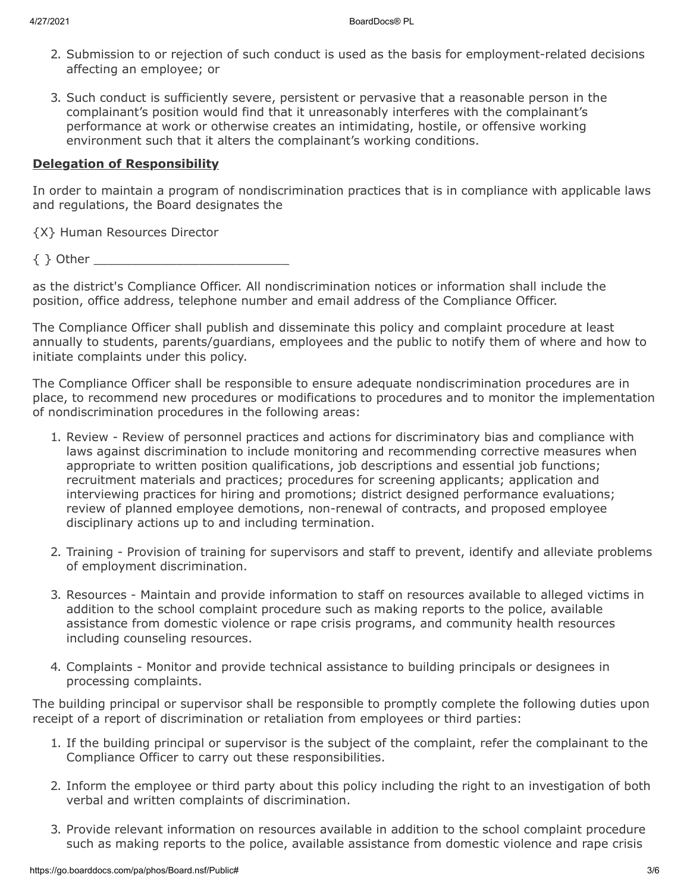- 2. Submission to or rejection of such conduct is used as the basis for employment-related decisions affecting an employee; or
- 3. Such conduct is sufficiently severe, persistent or pervasive that a reasonable person in the complainant's position would find that it unreasonably interferes with the complainant's performance at work or otherwise creates an intimidating, hostile, or offensive working environment such that it alters the complainant's working conditions.

#### **Delegation of Responsibility**

In order to maintain a program of nondiscrimination practices that is in compliance with applicable laws and regulations, the Board designates the

{X} Human Resources Director

 $\{ \}$  Other  $\_\_$ 

as the district's Compliance Officer. All nondiscrimination notices or information shall include the position, office address, telephone number and email address of the Compliance Officer.

The Compliance Officer shall publish and disseminate this policy and complaint procedure at least annually to students, parents/guardians, employees and the public to notify them of where and how to initiate complaints under this policy.

The Compliance Officer shall be responsible to ensure adequate nondiscrimination procedures are in place, to recommend new procedures or modifications to procedures and to monitor the implementation of nondiscrimination procedures in the following areas:

- 1. Review Review of personnel practices and actions for discriminatory bias and compliance with laws against discrimination to include monitoring and recommending corrective measures when appropriate to written position qualifications, job descriptions and essential job functions; recruitment materials and practices; procedures for screening applicants; application and interviewing practices for hiring and promotions; district designed performance evaluations; review of planned employee demotions, non-renewal of contracts, and proposed employee disciplinary actions up to and including termination.
- 2. Training Provision of training for supervisors and staff to prevent, identify and alleviate problems of employment discrimination.
- 3. Resources Maintain and provide information to staff on resources available to alleged victims in addition to the school complaint procedure such as making reports to the police, available assistance from domestic violence or rape crisis programs, and community health resources including counseling resources.
- 4. Complaints Monitor and provide technical assistance to building principals or designees in processing complaints.

The building principal or supervisor shall be responsible to promptly complete the following duties upon receipt of a report of discrimination or retaliation from employees or third parties:

- 1. If the building principal or supervisor is the subject of the complaint, refer the complainant to the Compliance Officer to carry out these responsibilities.
- 2. Inform the employee or third party about this policy including the right to an investigation of both verbal and written complaints of discrimination.
- 3. Provide relevant information on resources available in addition to the school complaint procedure such as making reports to the police, available assistance from domestic violence and rape crisis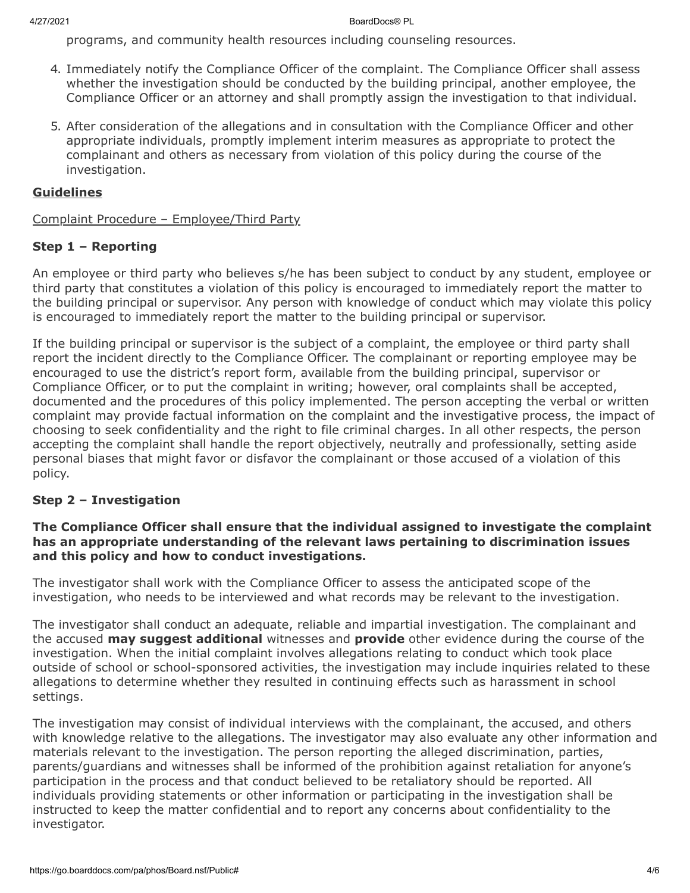programs, and community health resources including counseling resources.

- 4. Immediately notify the Compliance Officer of the complaint. The Compliance Officer shall assess whether the investigation should be conducted by the building principal, another employee, the Compliance Officer or an attorney and shall promptly assign the investigation to that individual.
- 5. After consideration of the allegations and in consultation with the Compliance Officer and other appropriate individuals, promptly implement interim measures as appropriate to protect the complainant and others as necessary from violation of this policy during the course of the investigation.

## **Guidelines**

Complaint Procedure – Employee/Third Party

#### **Step 1 – Reporting**

An employee or third party who believes s/he has been subject to conduct by any student, employee or third party that constitutes a violation of this policy is encouraged to immediately report the matter to the building principal or supervisor. Any person with knowledge of conduct which may violate this policy is encouraged to immediately report the matter to the building principal or supervisor.

If the building principal or supervisor is the subject of a complaint, the employee or third party shall report the incident directly to the Compliance Officer. The complainant or reporting employee may be encouraged to use the district's report form, available from the building principal, supervisor or Compliance Officer, or to put the complaint in writing; however, oral complaints shall be accepted, documented and the procedures of this policy implemented. The person accepting the verbal or written complaint may provide factual information on the complaint and the investigative process, the impact of choosing to seek confidentiality and the right to file criminal charges. In all other respects, the person accepting the complaint shall handle the report objectively, neutrally and professionally, setting aside personal biases that might favor or disfavor the complainant or those accused of a violation of this policy.

#### **Step 2 – Investigation**

#### **The Compliance Officer shall ensure that the individual assigned to investigate the complaint has an appropriate understanding of the relevant laws pertaining to discrimination issues and this policy and how to conduct investigations.**

The investigator shall work with the Compliance Officer to assess the anticipated scope of the investigation, who needs to be interviewed and what records may be relevant to the investigation.

The investigator shall conduct an adequate, reliable and impartial investigation. The complainant and the accused **may suggest additional** witnesses and **provide** other evidence during the course of the investigation. When the initial complaint involves allegations relating to conduct which took place outside of school or school-sponsored activities, the investigation may include inquiries related to these allegations to determine whether they resulted in continuing effects such as harassment in school settings.

The investigation may consist of individual interviews with the complainant, the accused, and others with knowledge relative to the allegations. The investigator may also evaluate any other information and materials relevant to the investigation. The person reporting the alleged discrimination, parties, parents/guardians and witnesses shall be informed of the prohibition against retaliation for anyone's participation in the process and that conduct believed to be retaliatory should be reported. All individuals providing statements or other information or participating in the investigation shall be instructed to keep the matter confidential and to report any concerns about confidentiality to the investigator.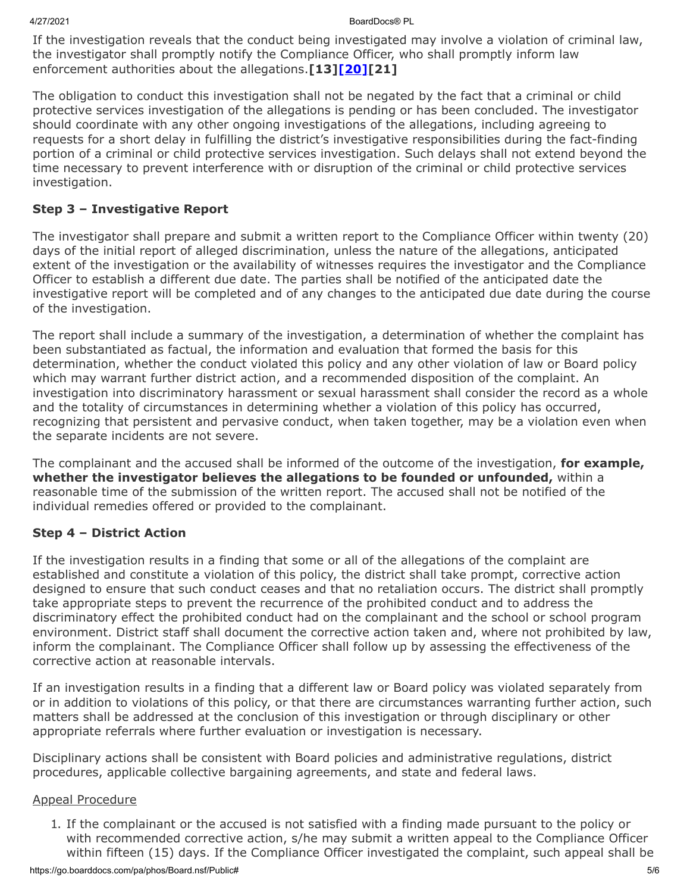If the investigation reveals that the conduct being investigated may involve a violation of criminal law, the investigator shall promptly notify the Compliance Officer, who shall promptly inform law enforcement authorities about the allegations.**[13[\]\[20\]\[](http://www.legis.state.pa.us/cfdocs/legis/LI/consCheck.cfm?txtType=HTM&ttl=18&div=0&chpt=27&sctn=9&subsctn=0)21]**

The obligation to conduct this investigation shall not be negated by the fact that a criminal or child protective services investigation of the allegations is pending or has been concluded. The investigator should coordinate with any other ongoing investigations of the allegations, including agreeing to requests for a short delay in fulfilling the district's investigative responsibilities during the fact-finding portion of a criminal or child protective services investigation. Such delays shall not extend beyond the time necessary to prevent interference with or disruption of the criminal or child protective services investigation.

# **Step 3 – Investigative Report**

The investigator shall prepare and submit a written report to the Compliance Officer within twenty (20) days of the initial report of alleged discrimination, unless the nature of the allegations, anticipated extent of the investigation or the availability of witnesses requires the investigator and the Compliance Officer to establish a different due date. The parties shall be notified of the anticipated date the investigative report will be completed and of any changes to the anticipated due date during the course of the investigation.

The report shall include a summary of the investigation, a determination of whether the complaint has been substantiated as factual, the information and evaluation that formed the basis for this determination, whether the conduct violated this policy and any other violation of law or Board policy which may warrant further district action, and a recommended disposition of the complaint. An investigation into discriminatory harassment or sexual harassment shall consider the record as a whole and the totality of circumstances in determining whether a violation of this policy has occurred, recognizing that persistent and pervasive conduct, when taken together, may be a violation even when the separate incidents are not severe.

The complainant and the accused shall be informed of the outcome of the investigation, **for example, whether the investigator believes the allegations to be founded or unfounded,** within a reasonable time of the submission of the written report. The accused shall not be notified of the individual remedies offered or provided to the complainant.

#### **Step 4 – District Action**

If the investigation results in a finding that some or all of the allegations of the complaint are established and constitute a violation of this policy, the district shall take prompt, corrective action designed to ensure that such conduct ceases and that no retaliation occurs. The district shall promptly take appropriate steps to prevent the recurrence of the prohibited conduct and to address the discriminatory effect the prohibited conduct had on the complainant and the school or school program environment. District staff shall document the corrective action taken and, where not prohibited by law, inform the complainant. The Compliance Officer shall follow up by assessing the effectiveness of the corrective action at reasonable intervals.

If an investigation results in a finding that a different law or Board policy was violated separately from or in addition to violations of this policy, or that there are circumstances warranting further action, such matters shall be addressed at the conclusion of this investigation or through disciplinary or other appropriate referrals where further evaluation or investigation is necessary.

Disciplinary actions shall be consistent with Board policies and administrative regulations, district procedures, applicable collective bargaining agreements, and state and federal laws.

#### Appeal Procedure

1. If the complainant or the accused is not satisfied with a finding made pursuant to the policy or with recommended corrective action, s/he may submit a written appeal to the Compliance Officer within fifteen (15) days. If the Compliance Officer investigated the complaint, such appeal shall be